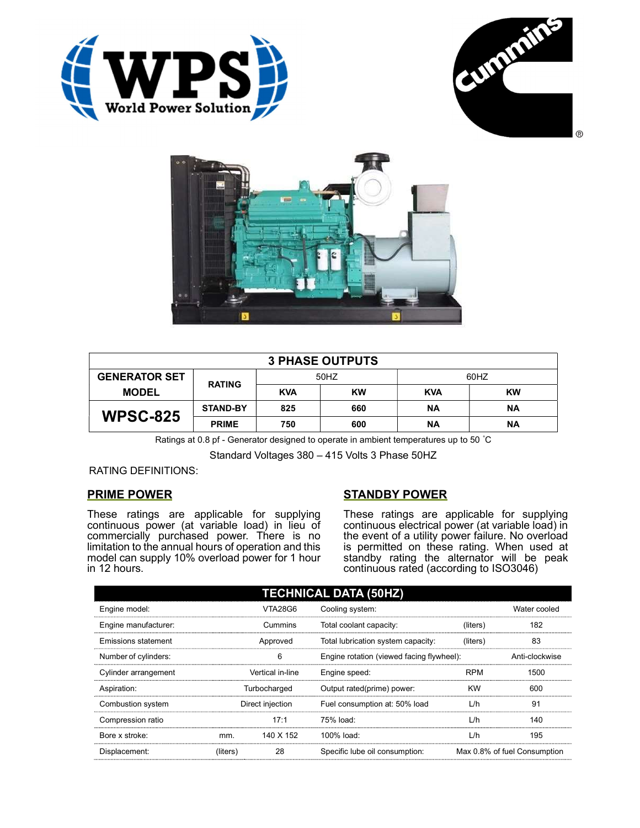





| <b>3 PHASE OUTPUTS</b> |                 |            |           |            |           |  |
|------------------------|-----------------|------------|-----------|------------|-----------|--|
| <b>GENERATOR SET</b>   | <b>RATING</b>   | 50HZ       |           | 60HZ       |           |  |
| <b>MODEL</b>           |                 | <b>KVA</b> | <b>KW</b> | <b>KVA</b> | <b>KW</b> |  |
| <b>WPSC-825</b>        | <b>STAND-BY</b> | 825        | 660       | ΝA         | ΝA        |  |
|                        | <b>PRIME</b>    | 750        | 600       | <b>NA</b>  | ΝA        |  |

Ratings at 0.8 pf - Generator designed to operate in ambient temperatures up to 50 °C

Standard Voltages 380 – 415 Volts 3 Phase 50HZ

RATING DEFINITIONS:

## PRIME POWER

These ratings are applicable for supplying continuous power (at variable load) in lieu of commercially purchased power. There is no limitation to the annual hours of operation and this model can supply 10% overload power for 1 hour in 12 hours.

## STANDBY POWER

These ratings are applicable for supplying continuous electrical power (at variable load) in the event of a utility power failure. No overload is permitted on these rating. When used at standby rating the alternator will be peak continuous rated (according to ISO3046)

| <b>TECHNICAL DATA (50HZ)</b> |                  |           |                                           |            |                              |  |
|------------------------------|------------------|-----------|-------------------------------------------|------------|------------------------------|--|
| Engine model:                |                  | VTA28G6   | Cooling system:                           |            | Water cooled                 |  |
| Engine manufacturer:         |                  | Cummins   | Total coolant capacity:                   | (liters)   | 182                          |  |
| Emissions statement          | Approved         |           | Total lubrication system capacity:        | (liters)   | 83                           |  |
| Number of cylinders:         | 6                |           | Engine rotation (viewed facing flywheel): |            | Anti-clockwise               |  |
| Cylinder arrangement         | Vertical in-line |           | Engine speed:                             | <b>RPM</b> | 1500                         |  |
| Aspiration:                  | Turbocharged     |           | Output rated(prime) power:                | <b>KW</b>  | 600                          |  |
| Combustion system            | Direct injection |           | Fuel consumption at: 50% load             | L/h        | 91                           |  |
| Compression ratio            |                  | 17:1      | 75% load:                                 | L/h        | 140                          |  |
| Bore x stroke:               | mm.              | 140 X 152 | 100% load:                                | L/h        | 195                          |  |
| Displacement:                | (liters)         | 28        | Specific lube oil consumption:            |            | Max 0.8% of fuel Consumption |  |